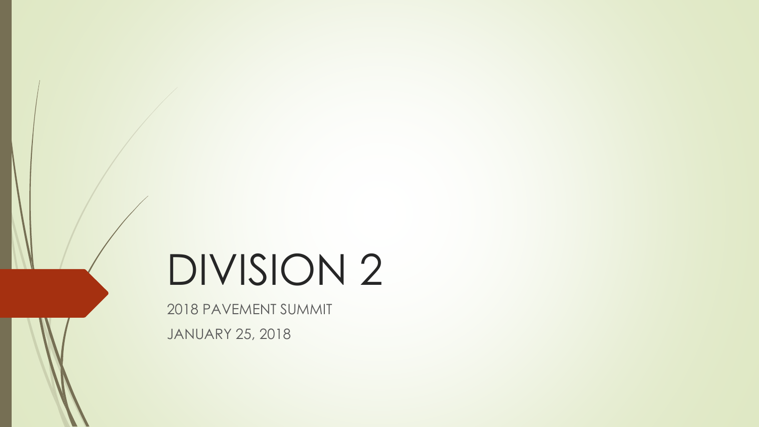# DIVISION 2

2018 PAVEMENT SUMMIT JANUARY 25, 2018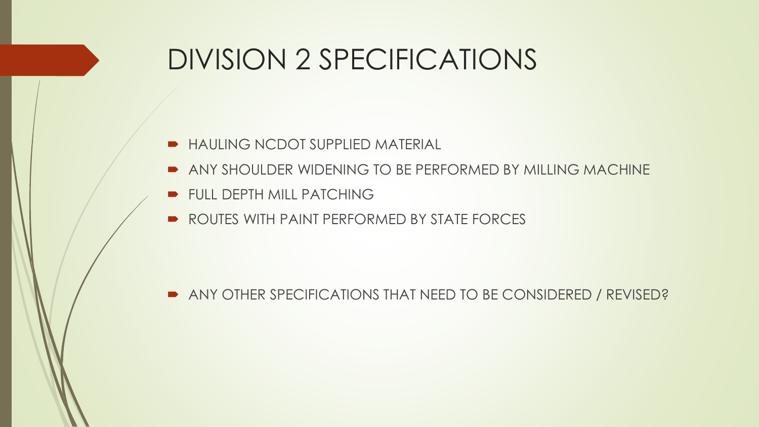#### DIVISION 2 SPECIFICATIONS

- **HAULING NCDOT SUPPLIED MATERIAL**
- ANY SHOULDER WIDENING TO BE PERFORMED BY MILLING MACHINE
- **FULL DEPTH MILL PATCHING**
- ROUTES WITH PAINT PERFORMED BY STATE FORCES

ANY OTHER SPECIFICATIONS THAT NEED TO BE CONSIDERED / REVISED?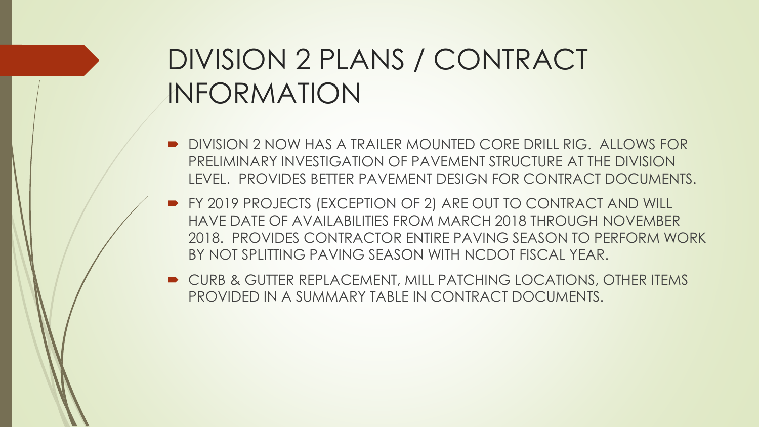## DIVISION 2 PLANS / CONTRACT INFORMATION

- **DIVISION 2 NOW HAS A TRAILER MOUNTED CORE DRILL RIG. ALLOWS FOR** PRELIMINARY INVESTIGATION OF PAVEMENT STRUCTURE AT THE DIVISION LEVEL. PROVIDES BETTER PAVEMENT DESIGN FOR CONTRACT DOCUMENTS.
- **FY 2019 PROJECTS (EXCEPTION OF 2) ARE OUT TO CONTRACT AND WILL** HAVE DATE OF AVAILABILITIES FROM MARCH 2018 THROUGH NOVEMBER 2018. PROVIDES CONTRACTOR ENTIRE PAVING SEASON TO PERFORM WORK BY NOT SPLITTING PAVING SEASON WITH NCDOT FISCAL YEAR.
- **DE CURB & GUTTER REPLACEMENT, MILL PATCHING LOCATIONS, OTHER ITEMS** PROVIDED IN A SUMMARY TABLE IN CONTRACT DOCUMENTS.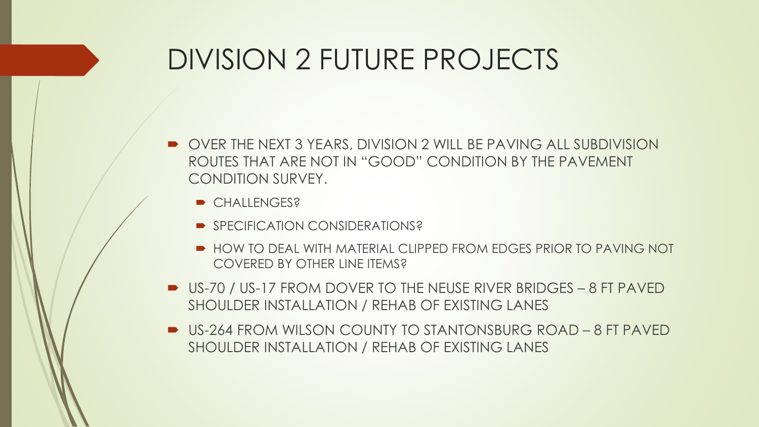#### DIVISION 2 FUTURE PROJECTS

- OVER THE NEXT 3 YEARS, DIVISION 2 WILL BE PAVING ALL SUBDIVISION ROUTES THAT ARE NOT IN "GOOD" CONDITION BY THE PAVEMENT CONDITION SURVEY.
	- **CHALLENGES?**
	- SPECIFICATION CONSIDERATIONS?
	- **HOW TO DEAL WITH MATERIAL CLIPPED FROM FDGES PRIOR TO PAVING NOT** COVERED BY OTHER LINE ITEMS?
- US-70 / US-17 FROM DOVER TO THE NEUSE RIVER BRIDGES 8 FT PAVED SHOULDER INSTALLATION / REHAB OF EXISTING LANES
- US-264 FROM WILSON COUNTY TO STANTONSBURG ROAD 8 FT PAVED SHOULDER INSTALLATION / REHAB OF EXISTING LANES